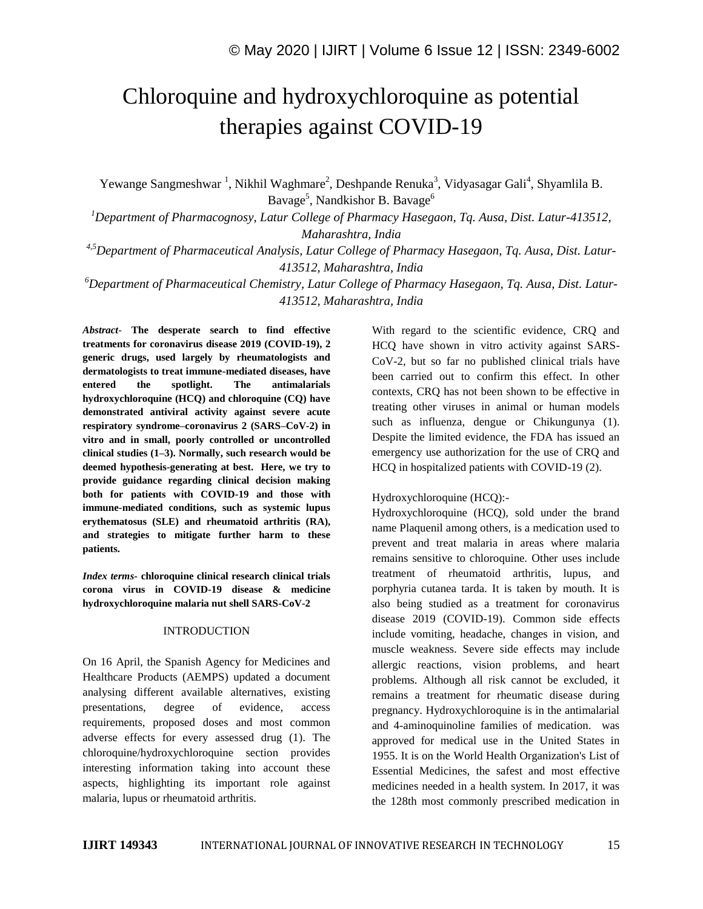# Chloroquine and hydroxychloroquine as potential therapies against COVID-19

Yewange Sangmeshwar<sup>1</sup>, Nikhil Waghmare<sup>2</sup>, Deshpande Renuka<sup>3</sup>, Vidyasagar Gali<sup>4</sup>, Shyamlila B. Bavage $^5$ , Nandkishor B. Bavage $^6$ 

*<sup>1</sup>Department of Pharmacognosy, Latur College of Pharmacy Hasegaon, Tq. Ausa, Dist. Latur-413512, Maharashtra, India*

*4,5Department of Pharmaceutical Analysis, Latur College of Pharmacy Hasegaon, Tq. Ausa, Dist. Latur-413512, Maharashtra, India*

*<sup>6</sup>Department of Pharmaceutical Chemistry, Latur College of Pharmacy Hasegaon, Tq. Ausa, Dist. Latur-413512, Maharashtra, India*

*Abstract*- **The desperate search to find effective treatments for coronavirus disease 2019 (COVID-19), 2 generic drugs, used largely by rheumatologists and dermatologists to treat immune-mediated diseases, have entered the spotlight. The antimalarials hydroxychloroquine (HCQ) and chloroquine (CQ) have demonstrated antiviral activity against severe acute respiratory syndrome–coronavirus 2 (SARS–CoV-2) in vitro and in small, poorly controlled or uncontrolled clinical studies (1–3). Normally, such research would be deemed hypothesis-generating at best. Here, we try to provide guidance regarding clinical decision making both for patients with COVID-19 and those with immune-mediated conditions, such as systemic lupus erythematosus (SLE) and rheumatoid arthritis (RA), and strategies to mitigate further harm to these patients.**

*Index terms***- chloroquine clinical research clinical trials corona virus in COVID-19 disease & medicine hydroxychloroquine malaria nut shell SARS-CoV-2**

#### INTRODUCTION

On 16 April, the Spanish Agency for Medicines and Healthcare Products (AEMPS) updated a document analysing different available alternatives, existing presentations, degree of evidence, access requirements, proposed doses and most common adverse effects for every assessed drug (1). The chloroquine/hydroxychloroquine section provides interesting information taking into account these aspects, highlighting its important role against malaria, lupus or rheumatoid arthritis.

With regard to the scientific evidence, CRQ and HCQ have shown in vitro activity against SARS-CoV-2, but so far no published clinical trials have been carried out to confirm this effect. In other contexts, CRQ has not been shown to be effective in treating other viruses in animal or human models such as influenza, dengue or Chikungunya (1). Despite the limited evidence, the FDA has issued an emergency use authorization for the use of CRQ and HCQ in hospitalized patients with COVID-19 (2).

#### Hydroxychloroquine (HCQ):-

Hydroxychloroquine (HCQ), sold under the brand name Plaquenil among others, is a medication used to prevent and treat malaria in areas where malaria remains sensitive to chloroquine. Other uses include treatment of rheumatoid arthritis, lupus, and porphyria cutanea tarda. It is taken by mouth. It is also being studied as a treatment for coronavirus disease 2019 (COVID-19). Common side effects include vomiting, headache, changes in vision, and muscle weakness. Severe side effects may include allergic reactions, vision problems, and heart problems. Although all risk cannot be excluded, it remains a treatment for rheumatic disease during pregnancy. Hydroxychloroquine is in the antimalarial and 4-aminoquinoline families of medication. was approved for medical use in the United States in 1955. It is on the World Health Organization's List of Essential Medicines, the safest and most effective medicines needed in a health system. In 2017, it was the 128th most commonly prescribed medication in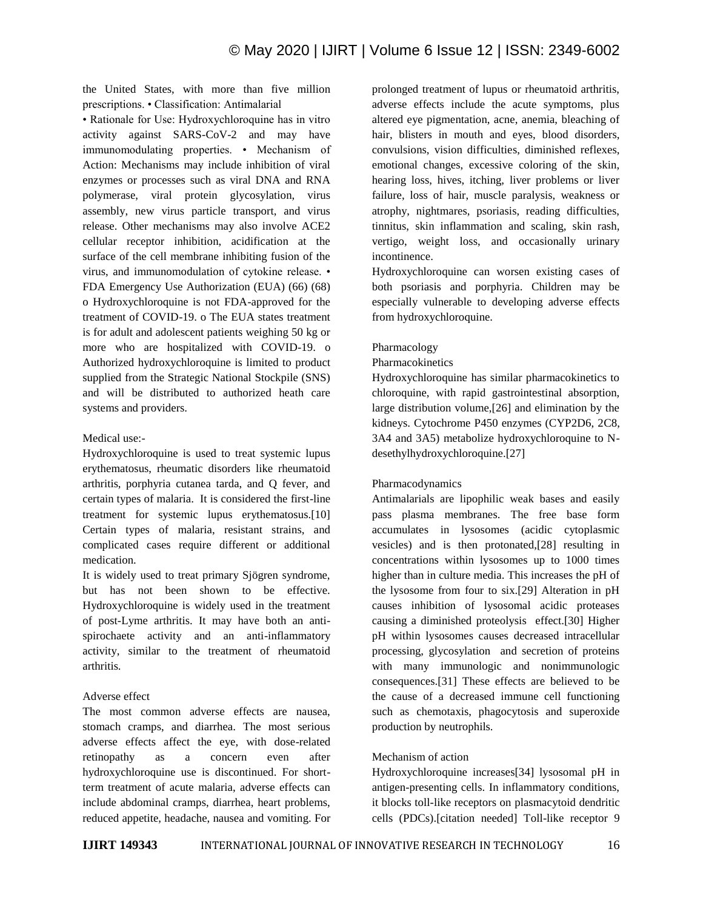the United States, with more than five million prescriptions. • Classification: Antimalarial

• Rationale for Use: Hydroxychloroquine has in vitro activity against SARS-CoV-2 and may have immunomodulating properties. • Mechanism of Action: Mechanisms may include inhibition of viral enzymes or processes such as viral DNA and RNA polymerase, viral protein glycosylation, virus assembly, new virus particle transport, and virus release. Other mechanisms may also involve ACE2 cellular receptor inhibition, acidification at the surface of the cell membrane inhibiting fusion of the virus, and immunomodulation of cytokine release. • FDA Emergency Use Authorization (EUA) (66) (68) o Hydroxychloroquine is not FDA-approved for the treatment of COVID-19. o The EUA states treatment is for adult and adolescent patients weighing 50 kg or more who are hospitalized with COVID-19. o Authorized hydroxychloroquine is limited to product supplied from the Strategic National Stockpile (SNS) and will be distributed to authorized heath care systems and providers.

## Medical use:-

Hydroxychloroquine is used to treat systemic lupus erythematosus, rheumatic disorders like rheumatoid arthritis, porphyria cutanea tarda, and Q fever, and certain types of malaria. It is considered the first-line treatment for systemic lupus erythematosus.[10] Certain types of malaria, resistant strains, and complicated cases require different or additional medication.

It is widely used to treat primary Sjögren syndrome, but has not been shown to be effective. Hydroxychloroquine is widely used in the treatment of post-Lyme arthritis. It may have both an antispirochaete activity and an anti-inflammatory activity, similar to the treatment of rheumatoid arthritis.

# Adverse effect

The most common adverse effects are nausea, stomach cramps, and diarrhea. The most serious adverse effects affect the eye, with dose-related retinopathy as a concern even after hydroxychloroquine use is discontinued. For shortterm treatment of acute malaria, adverse effects can include abdominal cramps, diarrhea, heart problems, reduced appetite, headache, nausea and vomiting. For prolonged treatment of lupus or rheumatoid arthritis, adverse effects include the acute symptoms, plus altered eye pigmentation, acne, anemia, bleaching of hair, blisters in mouth and eyes, blood disorders, convulsions, vision difficulties, diminished reflexes, emotional changes, excessive coloring of the skin, hearing loss, hives, itching, liver problems or liver failure, loss of hair, muscle paralysis, weakness or atrophy, nightmares, psoriasis, reading difficulties, tinnitus, skin inflammation and scaling, skin rash, vertigo, weight loss, and occasionally urinary incontinence.

Hydroxychloroquine can worsen existing cases of both psoriasis and porphyria. Children may be especially vulnerable to developing adverse effects from hydroxychloroquine.

## Pharmacology

#### Pharmacokinetics

Hydroxychloroquine has similar pharmacokinetics to chloroquine, with rapid gastrointestinal absorption, large distribution volume,[26] and elimination by the kidneys. Cytochrome P450 enzymes (CYP2D6, 2C8, 3A4 and 3A5) metabolize hydroxychloroquine to Ndesethylhydroxychloroquine.[27]

## Pharmacodynamics

Antimalarials are lipophilic weak bases and easily pass plasma membranes. The free base form accumulates in lysosomes (acidic cytoplasmic vesicles) and is then protonated,[28] resulting in concentrations within lysosomes up to 1000 times higher than in culture media. This increases the pH of the lysosome from four to six.[29] Alteration in pH causes inhibition of lysosomal acidic proteases causing a diminished proteolysis effect.[30] Higher pH within lysosomes causes decreased intracellular processing, glycosylation and secretion of proteins with many immunologic and nonimmunologic consequences.[31] These effects are believed to be the cause of a decreased immune cell functioning such as chemotaxis, phagocytosis and superoxide production by neutrophils.

# Mechanism of action

Hydroxychloroquine increases[34] lysosomal pH in antigen-presenting cells. In inflammatory conditions, it blocks toll-like receptors on plasmacytoid dendritic cells (PDCs).[citation needed] Toll-like receptor 9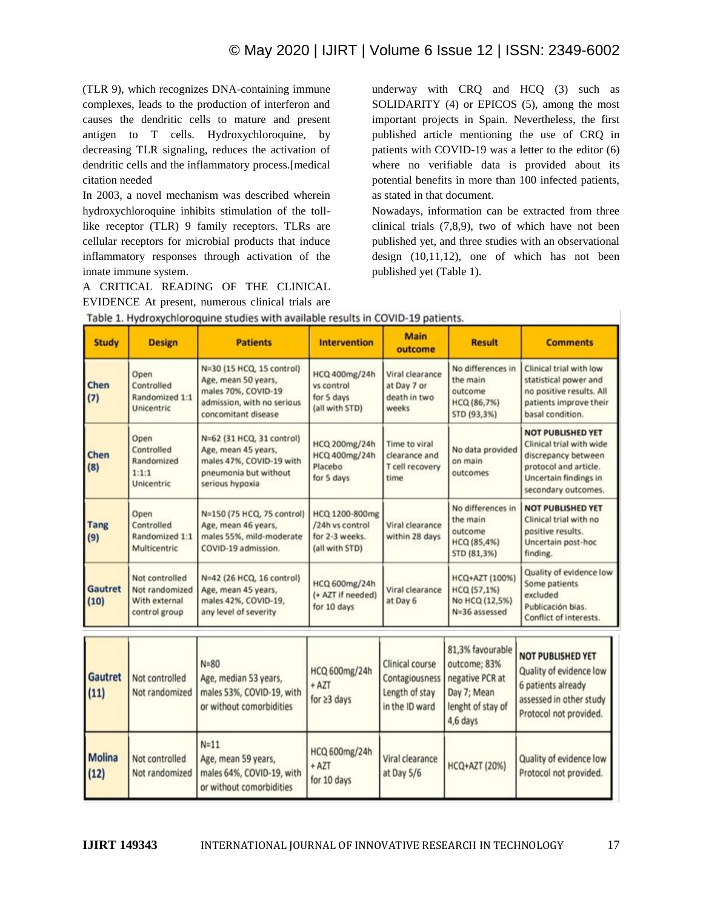(TLR 9), which recognizes DNA-containing immune complexes, leads to the production of interferon and causes the dendritic cells to mature and present antigen to T cells. Hydroxychloroquine, by decreasing TLR signaling, reduces the activation of dendritic cells and the inflammatory process.[medical citation needed

In 2003, a novel mechanism was described wherein hydroxychloroquine inhibits stimulation of the tolllike receptor (TLR) 9 family receptors. TLRs are cellular receptors for microbial products that induce inflammatory responses through activation of the innate immune system.

A CRITICAL READING OF THE CLINICAL EVIDENCE At present, numerous clinical trials are

 $N=11$ 

Age, mean 59 years,

males 64%, COVID-19, with

or without comorbidities

Not controlled

Not randomized

**Molina** 

 $(12)$ 

underway with CRQ and HCQ (3) such as SOLIDARITY (4) or EPICOS (5), among the most important projects in Spain. Nevertheless, the first published article mentioning the use of CRQ in patients with COVID-19 was a letter to the editor (6) where no verifiable data is provided about its potential benefits in more than 100 infected patients, as stated in that document.

Nowadays, information can be extracted from three clinical trials (7,8,9), two of which have not been published yet, and three studies with an observational design (10,11,12), one of which has not been published yet (Table 1).

Protocol not provided.

Quality of evidence low

Protocol not provided.

4,6 days

**HCQ+AZT (20%)** 

Viral clearance

at Day 5/6

| <b>Study</b>       | <b>Design</b>                                                      | <b>Patients</b>                                                                                                              | <b>Intervention</b>                                                   | <b>Main</b><br>outcome                                                | <b>Result</b>                                                                           | <b>Comments</b>                                                                                                                                      |
|--------------------|--------------------------------------------------------------------|------------------------------------------------------------------------------------------------------------------------------|-----------------------------------------------------------------------|-----------------------------------------------------------------------|-----------------------------------------------------------------------------------------|------------------------------------------------------------------------------------------------------------------------------------------------------|
| Chen<br>(7)        | Open<br>Controlled<br>Randomized 1:1<br><b>Unicentric</b>          | N=30 (15 HCQ, 15 control)<br>Age, mean 50 years,<br>males 70%, COVID-19<br>admission, with no serious<br>concomitant disease | HCQ 400mg/24h<br>vs control<br>for 5 days<br>(all with STD)           | Viral clearance<br>at Day 7 or<br>death in two<br>weeks               | No differences in<br>the main<br>outcome<br>HCQ (86,7%)<br>STD (93,3%)                  | Clinical trial with low<br>statistical power and<br>no positive results. All<br>patients improve their<br>basal condition.                           |
| Chen<br>(8)        | Open<br>Controlled<br>Randomized<br>1:1:1<br>Unicentric            | N=62 (31 HCQ, 31 control)<br>Age, mean 45 years,<br>males 47%, COVID-19 with<br>pneumonia but without<br>serious hypoxia     | HCQ 200mg/24h<br>HCQ 400mg/24h<br>Placebo<br>for 5 days               | Time to viral<br>clearance and<br>T cell recovery<br>time             | No data provided<br>on main<br>outcomes                                                 | <b>NOT PUBLISHED YET</b><br>Clinical trial with wide<br>discrepancy between<br>protocol and article.<br>Uncertain findings in<br>secondary outcomes. |
| <b>Tang</b><br>(9) | Open<br>Controlled<br>Randomized 1:1<br>Multicentric               | N=150 (75 HCQ, 75 control)<br>Age, mean 46 years,<br>males 55%, mild-moderate<br>COVID-19 admission.                         | HCQ 1200-800mg<br>/24h vs control<br>for 2-3 weeks.<br>(all with STD) | Viral clearance<br>within 28 days                                     | No differences in<br>the main<br>outcome<br>HCQ (85,4%)<br>STD (81,3%)                  | <b>NOT PUBLISHED YET</b><br>Clinical trial with no<br>positive results.<br>Uncertain post-hoc<br>finding.                                            |
| Gautret<br>(10)    | Not controlled<br>Not randomized<br>With external<br>control group | N=42 (26 HCQ, 16 control)<br>Age, mean 45 years,<br>males 42%, COVID-19,<br>any level of severity                            | HCQ 600mg/24h<br>(+ AZT if needed)<br>for 10 days                     | Viral clearance<br>at Day 6                                           | HCQ+AZT (100%)<br>HCQ (57,1%)<br>No HCQ (12,5%)<br>N=36 assessed                        | Quality of evidence low<br>Some patients<br>excluded<br>Publicación bias.<br>Conflict of interests.                                                  |
| Gautret<br>(11)    | Not controlled<br>Not randomized                                   | $N = 80$<br>Age, median 53 years,<br>males 53%, COVID-19, with<br>or without comorbidities                                   | HCQ 600mg/24h<br>$+$ AZT<br>for $\geq$ 3 days                         | Clinical course<br>Contagiousness<br>Length of stay<br>in the ID ward | 81,3% favourable<br>outcome; 83%<br>negative PCR at<br>Day 7; Mean<br>lenght of stay of | <b>NOT PUBLISHED YET</b><br>Quality of evidence low<br>6 patients already<br>assessed in other study<br>Britain and work property land               |

| Table 1. Hydroxychloroquine studies with available results in COVID-19 patients |  |  |  |  |  |  |  |  |
|---------------------------------------------------------------------------------|--|--|--|--|--|--|--|--|
|---------------------------------------------------------------------------------|--|--|--|--|--|--|--|--|

HCQ 600mg/24h

 $+$  AZT

for 10 days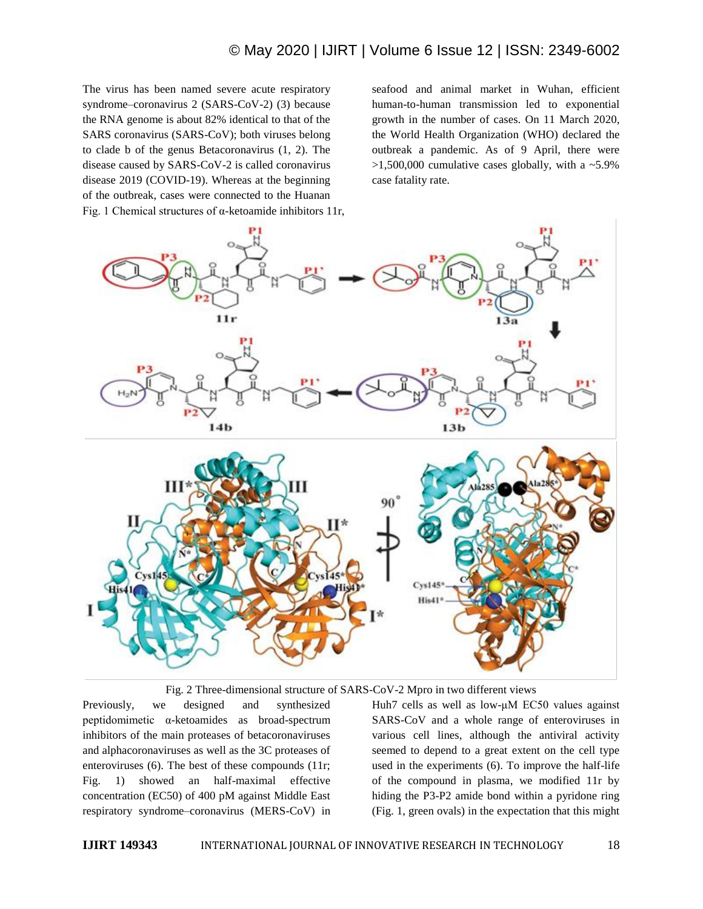The virus has been named severe acute respiratory syndrome–coronavirus 2 (SARS-CoV-2) (3) because the RNA genome is about 82% identical to that of the SARS coronavirus (SARS-CoV); both viruses belong to clade b of the genus Betacoronavirus (1, 2). The disease caused by SARS-CoV-2 is called coronavirus disease 2019 (COVID-19). Whereas at the beginning of the outbreak, cases were connected to the Huanan Fig. 1 Chemical structures of α-ketoamide inhibitors 11r,

seafood and animal market in Wuhan, efficient human-to-human transmission led to exponential growth in the number of cases. On 11 March 2020, the World Health Organization (WHO) declared the outbreak a pandemic. As of 9 April, there were  $>1,500,000$  cumulative cases globally, with a  $\sim 5.9\%$ case fatality rate.



Fig. 2 Three-dimensional structure of SARS-CoV-2 Mpro in two different views

Previously, we designed and synthesized peptidomimetic α-ketoamides as broad-spectrum inhibitors of the main proteases of betacoronaviruses and alphacoronaviruses as well as the 3C proteases of enteroviruses (6). The best of these compounds (11r; Fig. 1) showed an half-maximal effective concentration (EC50) of 400 pM against Middle East respiratory syndrome–coronavirus (MERS-CoV) in Huh7 cells as well as low-μM EC50 values against SARS-CoV and a whole range of enteroviruses in various cell lines, although the antiviral activity seemed to depend to a great extent on the cell type used in the experiments (6). To improve the half-life of the compound in plasma, we modified 11r by hiding the P3-P2 amide bond within a pyridone ring (Fig. 1, green ovals) in the expectation that this might